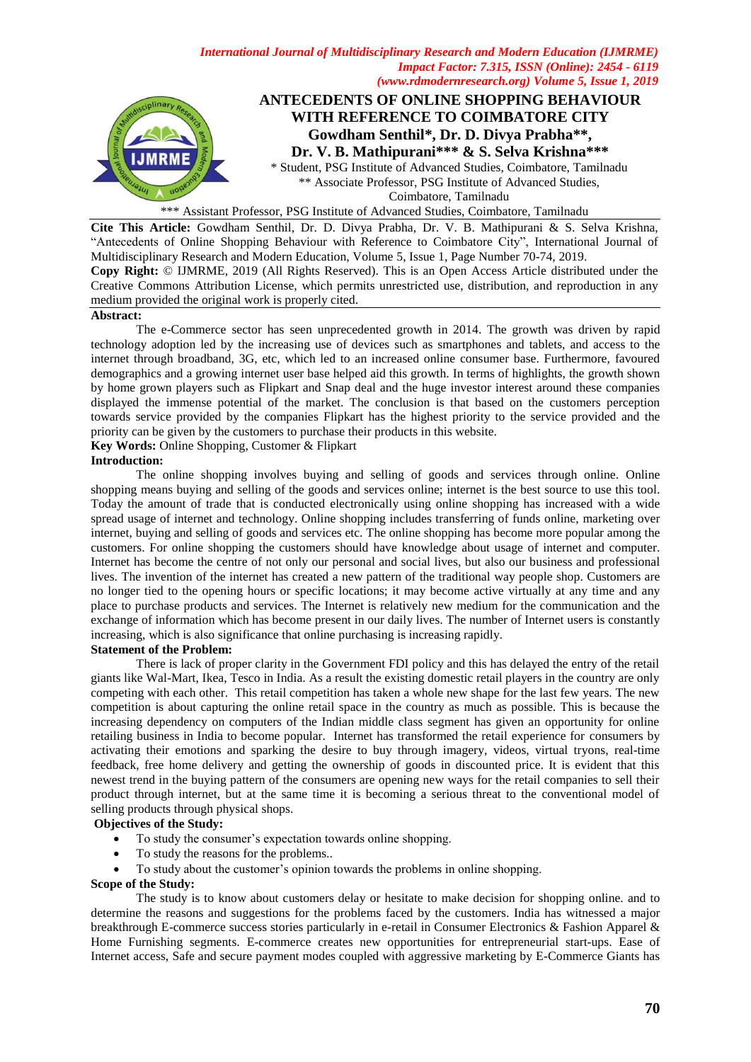

\*\*\* Assistant Professor, PSG Institute of Advanced Studies, Coimbatore, Tamilnadu

**Cite This Article:** Gowdham Senthil, Dr. D. Divya Prabha, Dr. V. B. Mathipurani & S. Selva Krishna, "Antecedents of Online Shopping Behaviour with Reference to Coimbatore City", International Journal of Multidisciplinary Research and Modern Education, Volume 5, Issue 1, Page Number 70-74, 2019. **Copy Right:** © IJMRME, 2019 (All Rights Reserved). This is an Open Access Article distributed under the Creative Commons Attribution License, which permits unrestricted use, distribution, and reproduction in any medium provided the original work is properly cited.

#### **Abstract:**

The e-Commerce sector has seen unprecedented growth in 2014. The growth was driven by rapid technology adoption led by the increasing use of devices such as smartphones and tablets, and access to the internet through broadband, 3G, etc, which led to an increased online consumer base. Furthermore, favoured demographics and a growing internet user base helped aid this growth. In terms of highlights, the growth shown by home grown players such as Flipkart and Snap deal and the huge investor interest around these companies displayed the immense potential of the market. The conclusion is that based on the customers perception towards service provided by the companies Flipkart has the highest priority to the service provided and the priority can be given by the customers to purchase their products in this website.

**Key Words:** Online Shopping, Customer & Flipkart

#### **Introduction:**

The online shopping involves buying and selling of goods and services through online. Online shopping means buying and selling of the goods and services online; internet is the best source to use this tool. Today the amount of trade that is conducted electronically using online shopping has increased with a wide spread usage of internet and technology. Online shopping includes transferring of funds online, marketing over internet, buying and selling of goods and services etc. The online shopping has become more popular among the customers. For online shopping the customers should have knowledge about usage of internet and computer. Internet has become the centre of not only our personal and social lives, but also our business and professional lives. The invention of the internet has created a new pattern of the traditional way people shop. Customers are no longer tied to the opening hours or specific locations; it may become active virtually at any time and any place to purchase products and services. The Internet is relatively new medium for the communication and the exchange of information which has become present in our daily lives. The number of Internet users is constantly increasing, which is also significance that online purchasing is increasing rapidly.

## **Statement of the Problem:**

There is lack of proper clarity in the Government FDI policy and this has delayed the entry of the retail giants like Wal-Mart, Ikea, Tesco in India. As a result the existing domestic retail players in the country are only competing with each other. This retail competition has taken a whole new shape for the last few years. The new competition is about capturing the online retail space in the country as much as possible. This is because the increasing dependency on computers of the Indian middle class segment has given an opportunity for online retailing business in India to become popular. Internet has transformed the retail experience for consumers by activating their emotions and sparking the desire to buy through imagery, videos, virtual tryons, real-time feedback, free home delivery and getting the ownership of goods in discounted price. It is evident that this newest trend in the buying pattern of the consumers are opening new ways for the retail companies to sell their product through internet, but at the same time it is becoming a serious threat to the conventional model of selling products through physical shops.

# **Objectives of the Study:**

- To study the consumer's expectation towards online shopping.
- To study the reasons for the problems..
- To study about the customer's opinion towards the problems in online shopping.

#### **Scope of the Study:**

The study is to know about customers delay or hesitate to make decision for shopping online. and to determine the reasons and suggestions for the problems faced by the customers. India has witnessed a major breakthrough E-commerce success stories particularly in e-retail in Consumer Electronics & Fashion Apparel & Home Furnishing segments. E-commerce creates new opportunities for entrepreneurial start-ups. Ease of Internet access, Safe and secure payment modes coupled with aggressive marketing by E-Commerce Giants has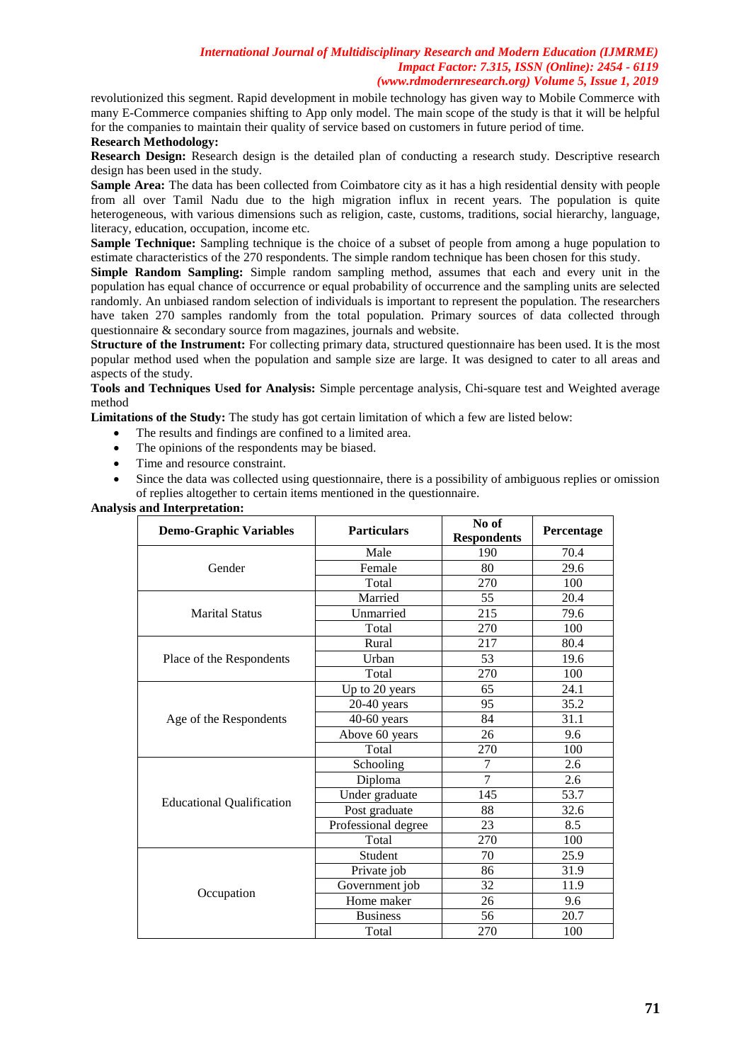revolutionized this segment. Rapid development in mobile technology has given way to Mobile Commerce with many E-Commerce companies shifting to App only model. The main scope of the study is that it will be helpful for the companies to maintain their quality of service based on customers in future period of time.

# **Research Methodology:**

**Research Design:** Research design is the detailed plan of conducting a research study. Descriptive research design has been used in the study.

**Sample Area:** The data has been collected from Coimbatore city as it has a high residential density with people from all over Tamil Nadu due to the high migration influx in recent years. The population is quite heterogeneous, with various dimensions such as religion, caste, customs, traditions, social hierarchy, language, literacy, education, occupation, income etc.

**Sample Technique:** Sampling technique is the choice of a subset of people from among a huge population to estimate characteristics of the 270 respondents. The simple random technique has been chosen for this study.

**Simple Random Sampling:** Simple random sampling method, assumes that each and every unit in the population has equal chance of occurrence or equal probability of occurrence and the sampling units are selected randomly. An unbiased random selection of individuals is important to represent the population. The researchers have taken 270 samples randomly from the total population. Primary sources of data collected through questionnaire & secondary source from magazines, journals and website.

**Structure of the Instrument:** For collecting primary data, structured questionnaire has been used. It is the most popular method used when the population and sample size are large. It was designed to cater to all areas and aspects of the study.

**Tools and Techniques Used for Analysis:** Simple percentage analysis, Chi-square test and Weighted average method

**Limitations of the Study:** The study has got certain limitation of which a few are listed below:

- The results and findings are confined to a limited area.
- The opinions of the respondents may be biased.
- Time and resource constraint.
- Since the data was collected using questionnaire, there is a possibility of ambiguous replies or omission of replies altogether to certain items mentioned in the questionnaire.

**Analysis and Interpretation:**

| <b>Demo-Graphic Variables</b>    | <b>Particulars</b>  | No of<br><b>Respondents</b> | Percentage |
|----------------------------------|---------------------|-----------------------------|------------|
|                                  | Male                | 190                         | 70.4       |
| Gender                           | Female              | 80                          | 29.6       |
|                                  | Total               | 270                         | 100        |
|                                  | Married             | 55                          | 20.4       |
| <b>Marital Status</b>            | Unmarried           | 215                         | 79.6       |
|                                  | Total               | 270                         | 100        |
|                                  | Rural               | 217                         | 80.4       |
| Place of the Respondents         | Urban               | 53                          | 19.6       |
|                                  | Total               | 270                         | 100        |
|                                  | Up to 20 years      | 65                          | 24.1       |
|                                  | $20-40$ years       | 95                          | 35.2       |
| Age of the Respondents           | $40-60$ years       | 84                          | 31.1       |
|                                  | Above 60 years      | 26                          | 9.6        |
|                                  | Total               | 270                         | 100        |
|                                  | Schooling           | $\overline{7}$              | 2.6        |
|                                  | Diploma             | $\overline{7}$              | 2.6        |
| <b>Educational Qualification</b> | Under graduate      | 145                         | 53.7       |
|                                  | Post graduate       | 88                          | 32.6       |
|                                  | Professional degree | 23                          | 8.5        |
|                                  | Total               | 270                         | 100        |
|                                  | Student             | 70                          | 25.9       |
| Occupation                       | Private job         | 86                          | 31.9       |
|                                  | Government job      | 32                          | 11.9       |
|                                  | Home maker          | 26                          | 9.6        |
|                                  | <b>Business</b>     | 56                          | 20.7       |
|                                  | Total               | 270                         | 100        |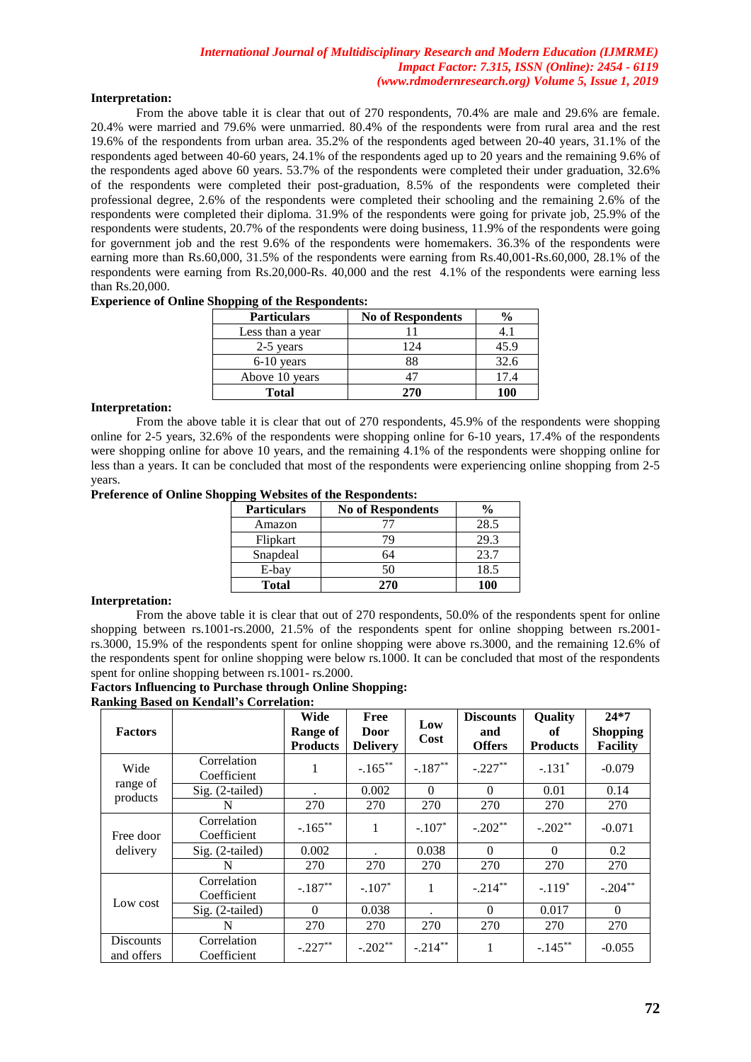# **Interpretation:**

From the above table it is clear that out of 270 respondents, 70.4% are male and 29.6% are female. 20.4% were married and 79.6% were unmarried. 80.4% of the respondents were from rural area and the rest 19.6% of the respondents from urban area. 35.2% of the respondents aged between 20-40 years, 31.1% of the respondents aged between 40-60 years, 24.1% of the respondents aged up to 20 years and the remaining 9.6% of the respondents aged above 60 years. 53.7% of the respondents were completed their under graduation, 32.6% of the respondents were completed their post-graduation, 8.5% of the respondents were completed their professional degree, 2.6% of the respondents were completed their schooling and the remaining 2.6% of the respondents were completed their diploma. 31.9% of the respondents were going for private job, 25.9% of the respondents were students, 20.7% of the respondents were doing business, 11.9% of the respondents were going for government job and the rest 9.6% of the respondents were homemakers. 36.3% of the respondents were earning more than Rs.60,000, 31.5% of the respondents were earning from Rs.40,001-Rs.60,000, 28.1% of the respondents were earning from Rs.20,000-Rs. 40,000 and the rest 4.1% of the respondents were earning less than Rs.20,000.

| <b>Experience of Online Shopping of the Respondents:</b> |  |  |  |  |  |  |
|----------------------------------------------------------|--|--|--|--|--|--|
|----------------------------------------------------------|--|--|--|--|--|--|

| <b>Particulars</b> | <b>No of Respondents</b> | $\frac{6}{9}$ |
|--------------------|--------------------------|---------------|
| Less than a year   |                          |               |
| 2-5 years          | 124                      | 45.9          |
| $6-10$ years       | 88                       | 32.6          |
| Above 10 years     |                          | 17.4          |
| <b>Total</b>       | 270                      | 100           |

# **Interpretation:**

From the above table it is clear that out of 270 respondents, 45.9% of the respondents were shopping online for 2-5 years, 32.6% of the respondents were shopping online for 6-10 years, 17.4% of the respondents were shopping online for above 10 years, and the remaining 4.1% of the respondents were shopping online for less than a years. It can be concluded that most of the respondents were experiencing online shopping from 2-5 years.

## **Preference of Online Shopping Websites of the Respondents:**

| <b>Particulars</b> | <b>No of Respondents</b> | $\frac{0}{0}$ |
|--------------------|--------------------------|---------------|
| Amazon             |                          | 28.5          |
| Flipkart           | 79                       | 29.3          |
| Snapdeal           | 64                       | 23.7          |
| E-bay              | 50                       | 18.5          |
| <b>Total</b>       | 270                      | 100           |

## **Interpretation:**

From the above table it is clear that out of 270 respondents, 50.0% of the respondents spent for online shopping between rs.1001-rs.2000, 21.5% of the respondents spent for online shopping between rs.2001 rs.3000, 15.9% of the respondents spent for online shopping were above rs.3000, and the remaining 12.6% of the respondents spent for online shopping were below rs.1000. It can be concluded that most of the respondents spent for online shopping between rs.1001- rs.2000.

#### **Factors Influencing to Purchase through Online Shopping: Ranking Based on Kendall's Correlation:**

| <b>Factors</b>                 |                            | Wide<br><b>Range of</b><br><b>Products</b> | Free<br><b>Door</b><br><b>Delivery</b> | Low<br>Cost | <b>Discounts</b><br>and<br><b>Offers</b> | <b>Quality</b><br>оf<br><b>Products</b> | $24*7$<br><b>Shopping</b><br><b>Facility</b> |
|--------------------------------|----------------------------|--------------------------------------------|----------------------------------------|-------------|------------------------------------------|-----------------------------------------|----------------------------------------------|
| Wide                           | Correlation<br>Coefficient | 1                                          | $-.165***$                             | $-.187**$   | $-.227**$                                | $-.131*$                                | $-0.079$                                     |
| range of<br>products           | Sig. (2-tailed)            |                                            | 0.002                                  | $\Omega$    | $\Omega$                                 | 0.01                                    | 0.14                                         |
|                                | N                          | 270                                        | 270                                    | 270         | 270                                      | 270                                     | 270                                          |
| Free door                      | Correlation<br>Coefficient | $-.165***$                                 | 1                                      | $-.107*$    | $-.202**$                                | $-.202**$                               | $-0.071$                                     |
| delivery                       | Sig. (2-tailed)            | 0.002                                      |                                        | 0.038       | $\Omega$                                 | $\Omega$                                | 0.2                                          |
|                                | N                          | 270                                        | 270                                    | 270         | 270                                      | 270                                     | 270                                          |
| Low cost                       | Correlation<br>Coefficient | $-.187**$                                  | $-.107*$                               | 1           | $-.214***$                               | $-.119*$                                | $-.204**$                                    |
|                                | Sig. (2-tailed)            | $\Omega$                                   | 0.038                                  |             | $\Omega$                                 | 0.017                                   | $\Omega$                                     |
|                                | N                          | 270                                        | 270                                    | 270         | 270                                      | 270                                     | 270                                          |
| <b>Discounts</b><br>and offers | Correlation<br>Coefficient | $-.227**$                                  | $-.202**$                              | $-.214***$  | 1                                        | $-.145***$                              | $-0.055$                                     |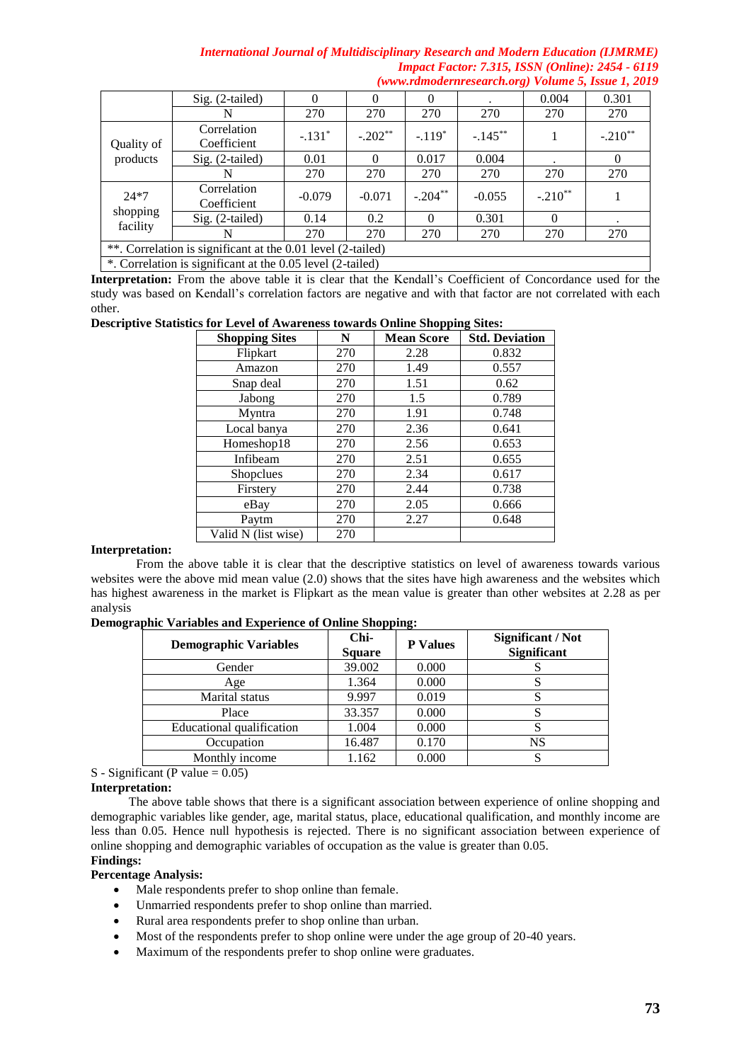|                                                             | Sig. (2-tailed)            |          | $\Omega$  | 0          |            | 0.004     | 0.301     |
|-------------------------------------------------------------|----------------------------|----------|-----------|------------|------------|-----------|-----------|
|                                                             | N                          | 270      | 270       | 270        | 270        | 270       | 270       |
| Quality of                                                  | Correlation<br>Coefficient | $-.131*$ | $-.202**$ | $-.119*$   | $-.145***$ |           | $-.210**$ |
| products                                                    | $Sig. (2-tailed)$          | 0.01     | $\Omega$  | 0.017      | 0.004      |           | $\theta$  |
|                                                             | N                          | 270      | 270       | 270        | 270        | 270       | 270       |
| $24*7$                                                      | Correlation<br>Coefficient | $-0.079$ | $-0.071$  | $-.204***$ | $-0.055$   | $-.210**$ |           |
| shopping                                                    | Sig. (2-tailed)            | 0.14     | 0.2       | 0          | 0.301      | $\Omega$  |           |
| facility                                                    | N                          | 270      | 270       | 270        | 270        | 270       | 270       |
| **. Correlation is significant at the 0.01 level (2-tailed) |                            |          |           |            |            |           |           |
| *. Correlation is significant at the 0.05 level (2-tailed)  |                            |          |           |            |            |           |           |

**Interpretation:** From the above table it is clear that the Kendall's Coefficient of Concordance used for the study was based on Kendall's correlation factors are negative and with that factor are not correlated with each other.

# **Descriptive Statistics for Level of Awareness towards Online Shopping Sites:**

| <b>Shopping Sites</b> | N   | <b>Mean Score</b> | <b>Std. Deviation</b> |
|-----------------------|-----|-------------------|-----------------------|
| Flipkart              | 270 | 2.28              | 0.832                 |
| Amazon                | 270 | 1.49              | 0.557                 |
| Snap deal             | 270 | 1.51              | 0.62                  |
| Jabong                | 270 | 1.5               | 0.789                 |
| Myntra                | 270 | 1.91              | 0.748                 |
| Local banya           | 270 | 2.36              | 0.641                 |
| Homeshop18            | 270 | 2.56              | 0.653                 |
| Infibeam              | 270 | 2.51              | 0.655                 |
| <b>Shopclues</b>      | 270 | 2.34              | 0.617                 |
| Firstery              | 270 | 2.44              | 0.738                 |
| eBay                  | 270 | 2.05              | 0.666                 |
| Paytm                 | 270 | 2.27              | 0.648                 |
| Valid N (list wise)   | 270 |                   |                       |

# **Interpretation:**

From the above table it is clear that the descriptive statistics on level of awareness towards various websites were the above mid mean value (2.0) shows that the sites have high awareness and the websites which has highest awareness in the market is Flipkart as the mean value is greater than other websites at 2.28 as per analysis

| <b>Demographic Variables</b> | Chi-<br><b>Square</b> | <b>P</b> Values | Significant / Not<br><b>Significant</b> |
|------------------------------|-----------------------|-----------------|-----------------------------------------|
| Gender                       | 39.002                | 0.000           |                                         |
| Age                          | 1.364                 | 0.000           |                                         |
| Marital status               | 9.997                 | 0.019           |                                         |
| Place                        | 33.357                | 0.000           |                                         |
| Educational qualification    | 1.004                 | 0.000           |                                         |
| Occupation                   | 16.487                | 0.170           | NS                                      |
| Monthly income               | 1.162                 | 0.000           |                                         |

# **Demographic Variables and Experience of Online Shopping:**

# S - Significant (P value  $= 0.05$ )

# **Interpretation:**

 The above table shows that there is a significant association between experience of online shopping and demographic variables like gender, age, marital status, place, educational qualification, and monthly income are less than 0.05. Hence null hypothesis is rejected. There is no significant association between experience of online shopping and demographic variables of occupation as the value is greater than 0.05.

# **Findings:**

- **Percentage Analysis:** • Male respondents prefer to shop online than female.
	- Unmarried respondents prefer to shop online than married.
	- Rural area respondents prefer to shop online than urban.
	- Most of the respondents prefer to shop online were under the age group of 20-40 years.
	- Maximum of the respondents prefer to shop online were graduates.